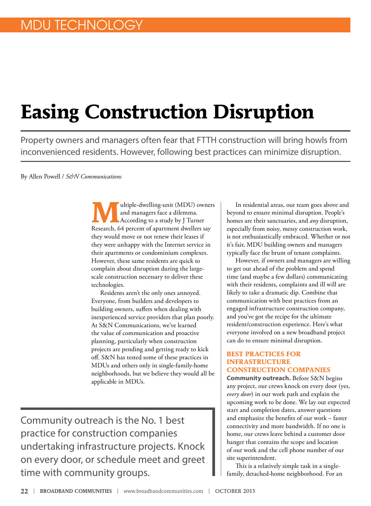# **Easing Construction Disruption**

Property owners and managers often fear that FTTH construction will bring howls from inconvenienced residents. However, following best practices can minimize disruption.

By Allen Powell / *S&N Communications*

**M**ultiple-dwelling-unit (MDU) owners and managers face a dilemma. According to a study by J Turner Research, 64 percent of apartment dwellers say they would move or not renew their leases if they were unhappy with the Internet service in their apartments or condominium complexes. However, these same residents are quick to complain about disruption during the largescale construction necessary to deliver these technologies.

Residents aren't the only ones annoyed. Everyone, from builders and developers to building owners, suffers when dealing with inexperienced service providers that plan poorly. At S&N Communications, we've learned the value of communication and proactive planning, particularly when construction projects are pending and getting ready to kick off. S&N has tested some of these practices in MDUs and others only in single-family-home neighborhoods, but we believe they would all be applicable in MDUs.

Community outreach is the No. 1 best practice for construction companies undertaking infrastructure projects. Knock on every door, or schedule meet and greet time with community groups.

In residential areas, our team goes above and beyond to ensure minimal disruption. People's homes are their sanctuaries, and *any* disruption, especially from noisy, messy construction work, is not enthusiastically embraced. Whether or not it's fair, MDU building owners and managers typically face the brunt of tenant complaints.

However, if owners and managers are willing to get out ahead of the problem and spend time (and maybe a few dollars) communicating with their residents, complaints and ill will are likely to take a dramatic dip. Combine that communication with best practices from an engaged infrastructure construction company, and you've got the recipe for the ultimate resident/construction experience. Here's what everyone involved on a new broadband project can do to ensure minimal disruption.

#### **BEST PRACTICES FOR INFRASTRUCTURE CONSTRUCTION COMPANIES**

**Community outreach.** Before S&N begins any project, our crews knock on every door (yes, *every door*) in our work path and explain the upcoming work to be done. We lay out expected start and completion dates, answer questions and emphasize the benefits of our work – faster connectivity and more bandwidth. If no one is home, our crews leave behind a customer door hanger that contains the scope and location of our work and the cell phone number of our site superintendent.

This is a relatively simple task in a singlefamily, detached-home neighborhood. For an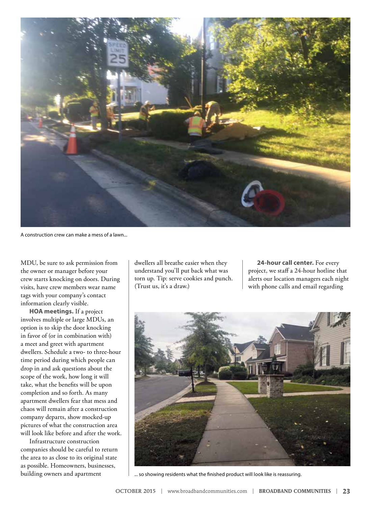

A construction crew can make a mess of a lawn...

MDU, be sure to ask permission from the owner or manager before your crew starts knocking on doors. During visits, have crew members wear name tags with your company's contact information clearly visible.

**HOA meetings.** If a project involves multiple or large MDUs, an option is to skip the door knocking in favor of (or in combination with) a meet and greet with apartment dwellers. Schedule a two- to three-hour time period during which people can drop in and ask questions about the scope of the work, how long it will take, what the benefits will be upon completion and so forth. As many apartment dwellers fear that mess and chaos will remain after a construction company departs, show mocked-up pictures of what the construction area will look like before and after the work.

Infrastructure construction companies should be careful to return the area to as close to its original state as possible. Homeowners, businesses, building owners and apartment

dwellers all breathe easier when they understand you'll put back what was torn up. Tip: serve cookies and punch. (Trust us, it's a draw.)

**24-hour call center.** For every project, we staff a 24-hour hotline that alerts our location managers each night with phone calls and email regarding



... so showing residents what the finished product will look like is reassuring.